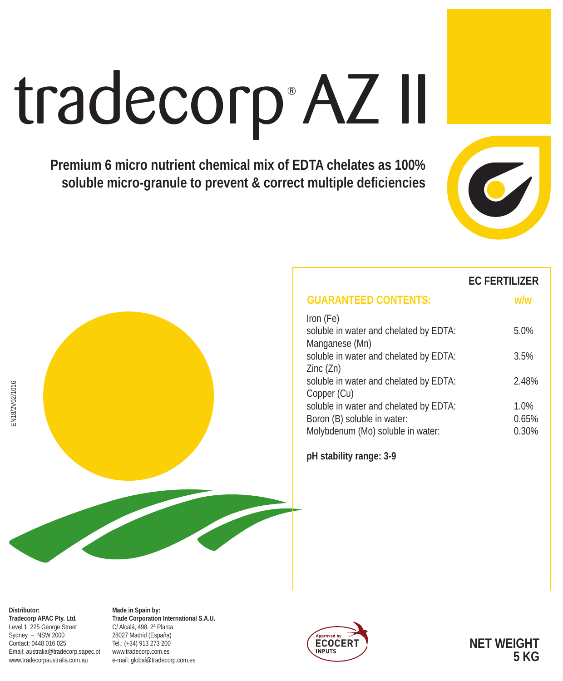# tradecorp AZ II

**Premium 6 micro nutrient chemical mix of EDTA chelates as 100% soluble micro-granule to prevent & correct multiple deficiencies**



### **EC FERTILIZER**

| <b>GUARANTEED CONTENTS:</b>                              |       |
|----------------------------------------------------------|-------|
| Iron (Fe)                                                |       |
| soluble in water and chelated by EDTA:<br>Manganese (Mn) | 5.0%  |
| soluble in water and chelated by EDTA:                   | 3.5%  |
| Zinc(Zn)<br>soluble in water and chelated by EDTA:       | 2.48% |
| Copper (Cu)                                              |       |
| soluble in water and chelated by EDTA:                   | 1.0%  |
| Boron (B) soluble in water:                              | 0.65% |
| Molybdenum (Mo) soluble in water:                        | 0.30% |

**pH stability range: 3-9**

**Distributor: Tradecorp APAC Pty. Ltd.** Level 1, 225 George Street Sydney – NSW 2000 Contact: 0448 016 025 Email: australia@tradecorp.sapec.pt www.tradecorpaustralia.com.au

**Made in Spain by: Trade Corporation International S.A.U.** C/ Alcalá, 498. 2ª Planta 28027 Madrid (España) Tel.: (+34) 913 273 200 www.tradecorp.com.es e-mail: global@tradecorp.com.es



**NET WEIGHT 5 KG**